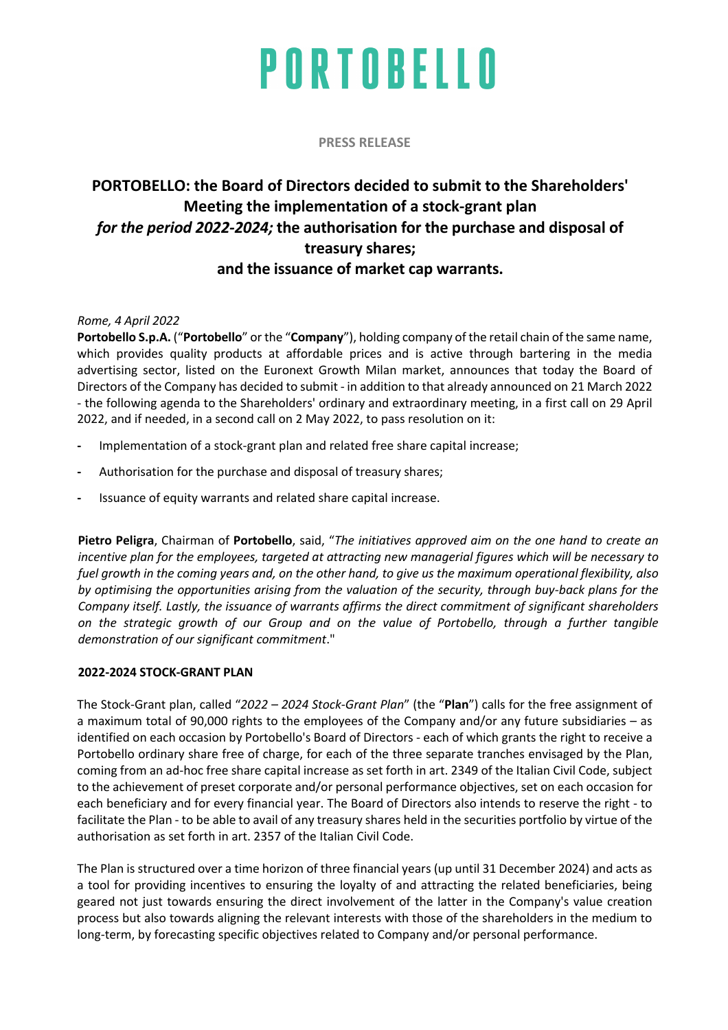**PRESS RELEASE**

### **PORTOBELLO: the Board of Directors decided to submit to the Shareholders' Meeting the implementation of a stock-grant plan** *for the period 2022-2024;* **the authorisation for the purchase and disposal of treasury shares; and the issuance of market cap warrants.**

*Rome, 4 April 2022*

**Portobello S.p.A.** ("**Portobello**" or the "**Company**"), holding company of the retail chain of the same name, which provides quality products at affordable prices and is active through bartering in the media advertising sector, listed on the Euronext Growth Milan market, announces that today the Board of Directors of the Company has decided to submit - in addition to that already announced on 21 March 2022 - the following agenda to the Shareholders' ordinary and extraordinary meeting, in a first call on 29 April 2022, and if needed, in a second call on 2 May 2022, to pass resolution on it:

- **-** Implementation of a stock-grant plan and related free share capital increase;
- **-** Authorisation for the purchase and disposal of treasury shares;
- **-** Issuance of equity warrants and related share capital increase.

**Pietro Peligra**, Chairman of **Portobello**, said, "*The initiatives approved aim on the one hand to create an incentive plan for the employees, targeted at attracting new managerial figures which will be necessary to fuel growth in the coming years and, on the other hand, to give us the maximum operational flexibility, also by optimising the opportunities arising from the valuation of the security, through buy-back plans for the Company itself. Lastly, the issuance of warrants affirms the direct commitment of significant shareholders on the strategic growth of our Group and on the value of Portobello, through a further tangible demonstration of our significant commitment*."

#### **2022-2024 STOCK-GRANT PLAN**

The Stock-Grant plan, called "*2022 – 2024 Stock-Grant Plan*" (the "**Plan**") calls for the free assignment of a maximum total of 90,000 rights to the employees of the Company and/or any future subsidiaries – as identified on each occasion by Portobello's Board of Directors - each of which grants the right to receive a Portobello ordinary share free of charge, for each of the three separate tranches envisaged by the Plan, coming from an ad-hoc free share capital increase as set forth in art. 2349 of the Italian Civil Code, subject to the achievement of preset corporate and/or personal performance objectives, set on each occasion for each beneficiary and for every financial year. The Board of Directors also intends to reserve the right - to facilitate the Plan - to be able to avail of any treasury shares held in the securities portfolio by virtue of the authorisation as set forth in art. 2357 of the Italian Civil Code.

The Plan is structured over a time horizon of three financial years (up until 31 December 2024) and acts as a tool for providing incentives to ensuring the loyalty of and attracting the related beneficiaries, being geared not just towards ensuring the direct involvement of the latter in the Company's value creation process but also towards aligning the relevant interests with those of the shareholders in the medium to long-term, by forecasting specific objectives related to Company and/or personal performance.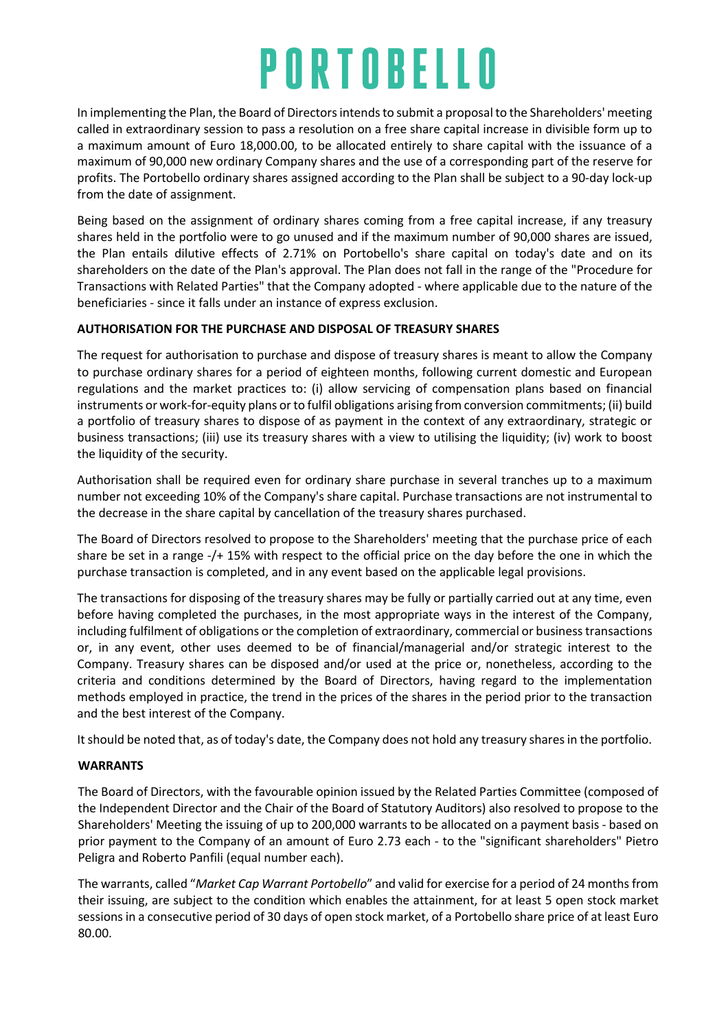In implementing the Plan, the Board of Directors intends to submit a proposal to the Shareholders' meeting called in extraordinary session to pass a resolution on a free share capital increase in divisible form up to a maximum amount of Euro 18,000.00, to be allocated entirely to share capital with the issuance of a maximum of 90,000 new ordinary Company shares and the use of a corresponding part of the reserve for profits. The Portobello ordinary shares assigned according to the Plan shall be subject to a 90-day lock-up from the date of assignment.

Being based on the assignment of ordinary shares coming from a free capital increase, if any treasury shares held in the portfolio were to go unused and if the maximum number of 90,000 shares are issued, the Plan entails dilutive effects of 2.71% on Portobello's share capital on today's date and on its shareholders on the date of the Plan's approval. The Plan does not fall in the range of the "Procedure for Transactions with Related Parties" that the Company adopted - where applicable due to the nature of the beneficiaries - since it falls under an instance of express exclusion.

#### **AUTHORISATION FOR THE PURCHASE AND DISPOSAL OF TREASURY SHARES**

The request for authorisation to purchase and dispose of treasury shares is meant to allow the Company to purchase ordinary shares for a period of eighteen months, following current domestic and European regulations and the market practices to: (i) allow servicing of compensation plans based on financial instruments or work-for-equity plans or to fulfil obligations arising from conversion commitments; (ii) build a portfolio of treasury shares to dispose of as payment in the context of any extraordinary, strategic or business transactions; (iii) use its treasury shares with a view to utilising the liquidity; (iv) work to boost the liquidity of the security.

Authorisation shall be required even for ordinary share purchase in several tranches up to a maximum number not exceeding 10% of the Company's share capital. Purchase transactions are not instrumental to the decrease in the share capital by cancellation of the treasury shares purchased.

The Board of Directors resolved to propose to the Shareholders' meeting that the purchase price of each share be set in a range -/+ 15% with respect to the official price on the day before the one in which the purchase transaction is completed, and in any event based on the applicable legal provisions.

The transactions for disposing of the treasury shares may be fully or partially carried out at any time, even before having completed the purchases, in the most appropriate ways in the interest of the Company, including fulfilment of obligations or the completion of extraordinary, commercial or business transactions or, in any event, other uses deemed to be of financial/managerial and/or strategic interest to the Company. Treasury shares can be disposed and/or used at the price or, nonetheless, according to the criteria and conditions determined by the Board of Directors, having regard to the implementation methods employed in practice, the trend in the prices of the shares in the period prior to the transaction and the best interest of the Company.

It should be noted that, as of today's date, the Company does not hold any treasury shares in the portfolio.

#### **WARRANTS**

The Board of Directors, with the favourable opinion issued by the Related Parties Committee (composed of the Independent Director and the Chair of the Board of Statutory Auditors) also resolved to propose to the Shareholders' Meeting the issuing of up to 200,000 warrants to be allocated on a payment basis - based on prior payment to the Company of an amount of Euro 2.73 each - to the "significant shareholders" Pietro Peligra and Roberto Panfili (equal number each).

The warrants, called "*Market Cap Warrant Portobello*" and valid for exercise for a period of 24 months from their issuing, are subject to the condition which enables the attainment, for at least 5 open stock market sessions in a consecutive period of 30 days of open stock market, of a Portobello share price of at least Euro 80.00.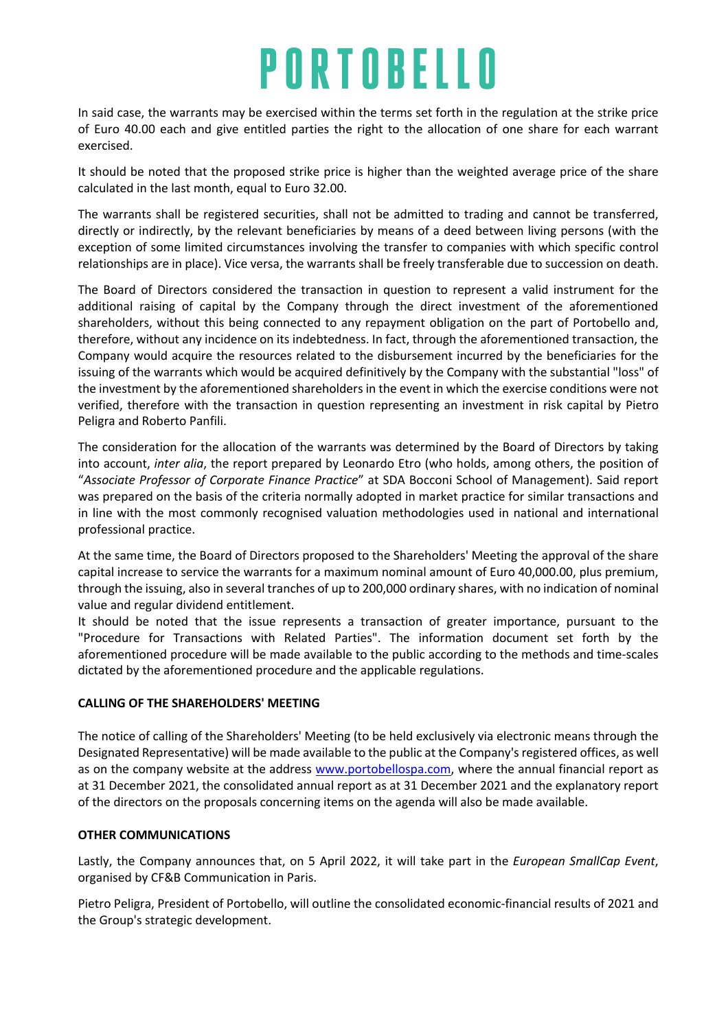In said case, the warrants may be exercised within the terms set forth in the regulation at the strike price of Euro 40.00 each and give entitled parties the right to the allocation of one share for each warrant exercised.

It should be noted that the proposed strike price is higher than the weighted average price of the share calculated in the last month, equal to Euro 32.00.

The warrants shall be registered securities, shall not be admitted to trading and cannot be transferred, directly or indirectly, by the relevant beneficiaries by means of a deed between living persons (with the exception of some limited circumstances involving the transfer to companies with which specific control relationships are in place). Vice versa, the warrants shall be freely transferable due to succession on death.

The Board of Directors considered the transaction in question to represent a valid instrument for the additional raising of capital by the Company through the direct investment of the aforementioned shareholders, without this being connected to any repayment obligation on the part of Portobello and, therefore, without any incidence on its indebtedness. In fact, through the aforementioned transaction, the Company would acquire the resources related to the disbursement incurred by the beneficiaries for the issuing of the warrants which would be acquired definitively by the Company with the substantial "loss" of the investment by the aforementioned shareholders in the event in which the exercise conditions were not verified, therefore with the transaction in question representing an investment in risk capital by Pietro Peligra and Roberto Panfili.

The consideration for the allocation of the warrants was determined by the Board of Directors by taking into account, *inter alia*, the report prepared by Leonardo Etro (who holds, among others, the position of "*Associate Professor of Corporate Finance Practice*" at SDA Bocconi School of Management). Said report was prepared on the basis of the criteria normally adopted in market practice for similar transactions and in line with the most commonly recognised valuation methodologies used in national and international professional practice.

At the same time, the Board of Directors proposed to the Shareholders' Meeting the approval of the share capital increase to service the warrants for a maximum nominal amount of Euro 40,000.00, plus premium, through the issuing, also in several tranches of up to 200,000 ordinary shares, with no indication of nominal value and regular dividend entitlement.

It should be noted that the issue represents a transaction of greater importance, pursuant to the "Procedure for Transactions with Related Parties". The information document set forth by the aforementioned procedure will be made available to the public according to the methods and time-scales dictated by the aforementioned procedure and the applicable regulations.

#### **CALLING OF THE SHAREHOLDERS' MEETING**

The notice of calling of the Shareholders' Meeting (to be held exclusively via electronic means through the Designated Representative) will be made available to the public at the Company's registered offices, as well as on the company website at the address www.portobellospa.com, where the annual financial report as at 31 December 2021, the consolidated annual report as at 31 December 2021 and the explanatory report of the directors on the proposals concerning items on the agenda will also be made available.

#### **OTHER COMMUNICATIONS**

Lastly, the Company announces that, on 5 April 2022, it will take part in the *European SmallCap Event*, organised by CF&B Communication in Paris.

Pietro Peligra, President of Portobello, will outline the consolidated economic-financial results of 2021 and the Group's strategic development.